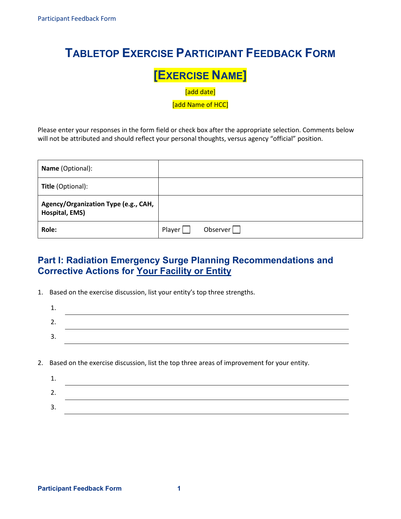## **TABLETOP EXERCISE PARTICIPANT FEEDBACK FORM**

# **EXERCISE NAME]**<br> **add date]**<br> **add Name of HCC**

[add date]

[add Name of HCC]

 Please enter your responses in the form field or check box after the appropriate selection. Comments below will not be attributed and should reflect your personal thoughts, versus agency "official" position.

| <b>Name</b> (Optional):                                |        |                 |
|--------------------------------------------------------|--------|-----------------|
| <b>Title</b> (Optional):                               |        |                 |
| Agency/Organization Type (e.g., CAH,<br>Hospital, EMS) |        |                 |
| Role:                                                  | Player | Observer $\Box$ |

## **Part I: Radiation Emergency Surge Planning Recommendations and Corrective Actions for Your Facility or Entity**

1. Based on the exercise discussion, list your entity's top three strengths.

| <u>.</u> |  |
|----------|--|
| <b>.</b> |  |
|          |  |

2. Based on the exercise discussion, list the top three areas of improvement for your entity.

| <u>. . </u> |  |
|-------------|--|
| <u>.</u>    |  |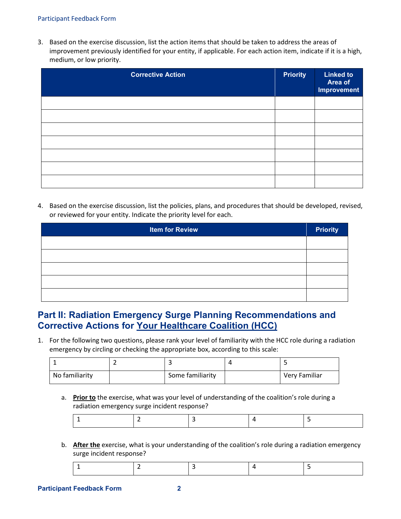#### Participant Feedback Form

 3. Based on the exercise discussion, list the action items that should be taken to address the areas of improvement previously identified for your entity, if applicable. For each action item, indicate if it is a high, medium, or low priority.

| <b>Corrective Action</b> | <b>Priority</b> | <b>Linked to</b><br>Area of<br><b>Improvement</b> |
|--------------------------|-----------------|---------------------------------------------------|
|                          |                 |                                                   |
|                          |                 |                                                   |
|                          |                 |                                                   |
|                          |                 |                                                   |
|                          |                 |                                                   |
|                          |                 |                                                   |
|                          |                 |                                                   |

 4. Based on the exercise discussion, list the policies, plans, and procedures that should be developed, revised, or reviewed for your entity. Indicate the priority level for each.

| <b>Item for Review</b> | <b>Priority</b> |
|------------------------|-----------------|
|                        |                 |
|                        |                 |
|                        |                 |
|                        |                 |
|                        |                 |

### **Corrective Actions for Your Healthcare Coalition (HCC) Part II: Radiation Emergency Surge Planning Recommendations and**

 1. For the following two questions, please rank your level of familiarity with the HCC role during a radiation emergency by circling or checking the appropriate box, according to this scale:

| No familiarity | Some familiarity | Very Familiar |
|----------------|------------------|---------------|

a. **Prior to** the exercise, what was your level of understanding of the coalition's role during a radiation emergency surge incident response?

|--|

b. **After the** exercise, what is your understanding of the coalition's role during a radiation emergency surge incident response?

|--|--|--|--|--|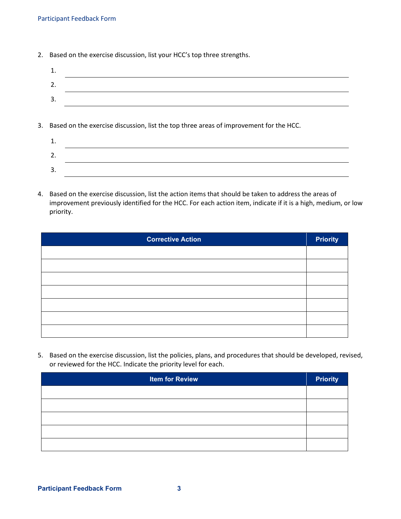2. Based on the exercise discussion, list your HCC's top three strengths.

| ∸. |  |
|----|--|
| ـ. |  |
| 3. |  |
|    |  |

3. Based on the exercise discussion, list the top three areas of improvement for the HCC.

| . ـ      |  |  |
|----------|--|--|
| <u>.</u> |  |  |
| J.       |  |  |

 4. Based on the exercise discussion, list the action items that should be taken to address the areas of improvement previously identified for the HCC. For each action item, indicate if it is a high, medium, or low priority.

| <b>Corrective Action</b> | <b>Priority</b> |
|--------------------------|-----------------|
|                          |                 |
|                          |                 |
|                          |                 |
|                          |                 |
|                          |                 |
|                          |                 |
|                          |                 |

 5. Based on the exercise discussion, list the policies, plans, and procedures that should be developed, revised, or reviewed for the HCC. Indicate the priority level for each.

| <b>Item for Review</b> | <b>Priority</b> |
|------------------------|-----------------|
|                        |                 |
|                        |                 |
|                        |                 |
|                        |                 |
|                        |                 |